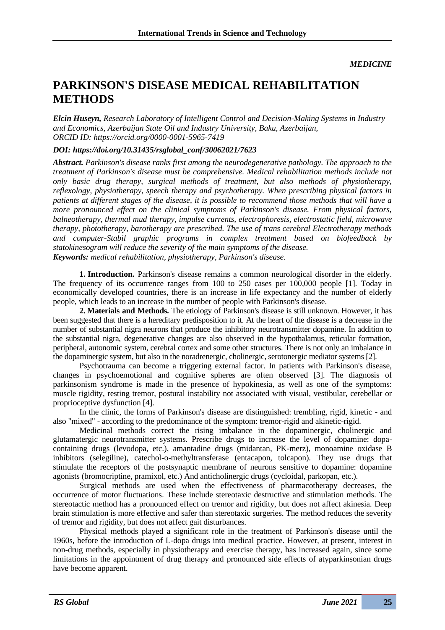## **PARKINSON'S DISEASE MEDICAL REHABILITATION METHODS**

*Elcin Huseyn, Research Laboratory of Intelligent Control and Decision-Making Systems in Industry and Economics, Azerbaijan State Oil and Industry University, Baku, Azerbaijan, ORCID ID:<https://orcid.org/0000-0001-5965-7419>*

## *DOI: https://doi.org/10.31435/rsglobal\_conf/30062021/7623*

*Abstract. Parkinson's disease ranks first among the neurodegenerative pathology. The approach to the treatment of Parkinson's disease must be comprehensive. Medical rehabilitation methods include not only basic drug therapy, surgical methods of treatment, but also methods of physiotherapy, reflexology, physiotherapy, speech therapy and psychotherapy. When prescribing physical factors in patients at different stages of the disease, it is possible to recommend those methods that will have a more pronounced effect on the clinical symptoms of Parkinson's disease. From physical factors, balneotherapy, thermal mud therapy, impulse currents, electrophoresis, electrostatic field, microwave therapy, phototherapy, barotherapy are prescribed. The use of trans cerebral Electrotherapy methods and computer-Stabil graphic programs in complex treatment based on biofeedback by statokinesogram will reduce the severity of the main symptoms of the disease. Keywords: medical rehabilitation, physiotherapy, Parkinson's disease.*

**1. Introduction.** Parkinson's disease remains a common neurological disorder in the elderly. The frequency of its occurrence ranges from 100 to 250 cases per 100,000 people [1]. Today in economically developed countries, there is an increase in life expectancy and the number of elderly people, which leads to an increase in the number of people with Parkinson's disease.

**2. Materials and Methods.** The etiology of Parkinson's disease is still unknown. However, it has been suggested that there is a hereditary predisposition to it. At the heart of the disease is a decrease in the number of substantial nigra neurons that produce the inhibitory neurotransmitter dopamine. In addition to the substantial nigra, degenerative changes are also observed in the hypothalamus, reticular formation, peripheral, autonomic system, cerebral cortex and some other structures. There is not only an imbalance in the dopaminergic system, but also in the noradrenergic, cholinergic, serotonergic mediator systems [2].

Psychotrauma can become a triggering external factor. In patients with Parkinson's disease, changes in psychoemotional and cognitive spheres are often observed [3]. The diagnosis of parkinsonism syndrome is made in the presence of hypokinesia, as well as one of the symptoms: muscle rigidity, resting tremor, postural instability not associated with visual, vestibular, cerebellar or proprioceptive dysfunction [4].

In the clinic, the forms of Parkinson's disease are distinguished: trembling, rigid, kinetic - and also "mixed" - according to the predominance of the symptom: tremor-rigid and akinetic-rigid.

Medicinal methods correct the rising imbalance in the dopaminergic, cholinergic and glutamatergic neurotransmitter systems. Prescribe drugs to increase the level of dopamine: dopacontaining drugs (levodopa, etc.), amantadine drugs (midantan, PK-merz), monoamine oxidase B inhibitors (selegiline), catechol-o-methyltransferase (entacapon, tolcapon). They use drugs that stimulate the receptors of the postsynaptic membrane of neurons sensitive to dopamine: dopamine agonists (bromocriptine, pramixol, etc.) And anticholinergic drugs (cycloidal, parkopan, etc.).

Surgical methods are used when the effectiveness of pharmacotherapy decreases, the occurrence of motor fluctuations. These include stereotaxic destructive and stimulation methods. The stereotactic method has a pronounced effect on tremor and rigidity, but does not affect akinesia. Deep brain stimulation is more effective and safer than stereotaxic surgeries. The method reduces the severity of tremor and rigidity, but does not affect gait disturbances.

Physical methods played a significant role in the treatment of Parkinson's disease until the 1960s, before the introduction of L-dopa drugs into medical practice. However, at present, interest in non-drug methods, especially in physiotherapy and exercise therapy, has increased again, since some limitations in the appointment of drug therapy and pronounced side effects of atyparkinsonian drugs have become apparent.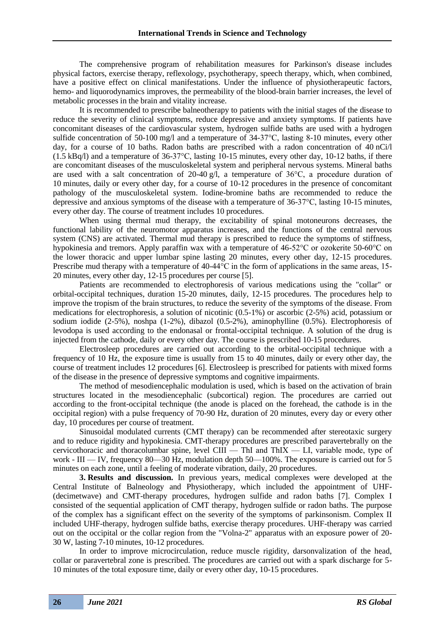The comprehensive program of rehabilitation measures for Parkinson's disease includes physical factors, exercise therapy, reflexology, psychotherapy, speech therapy, which, when combined, have a positive effect on clinical manifestations. Under the influence of physiotherapeutic factors, hemo- and liquorodynamics improves, the permeability of the blood-brain barrier increases, the level of metabolic processes in the brain and vitality increase.

It is recommended to prescribe balneotherapy to patients with the initial stages of the disease to reduce the severity of clinical symptoms, reduce depressive and anxiety symptoms. If patients have concomitant diseases of the cardiovascular system, hydrogen sulfide baths are used with a hydrogen sulfide concentration of 50-100 mg/l and a temperature of 34-37°C, lasting 8-10 minutes, every other day, for a course of 10 baths. Radon baths are prescribed with a radon concentration of 40 nCi/l (1.5 kBq/l) and a temperature of 36-37°C, lasting 10-15 minutes, every other day, 10-12 baths, if there are concomitant diseases of the musculoskeletal system and peripheral nervous systems. Mineral baths are used with a salt concentration of 20-40  $\alpha$ . a temperature of 36°C, a procedure duration of 10 minutes, daily or every other day, for a course of 10-12 procedures in the presence of concomitant pathology of the musculoskeletal system. Iodine-bromine baths are recommended to reduce the depressive and anxious symptoms of the disease with a temperature of 36-37°C, lasting 10-15 minutes, every other day. The course of treatment includes 10 procedures.

When using thermal mud therapy, the excitability of spinal motoneurons decreases, the functional lability of the neuromotor apparatus increases, and the functions of the central nervous system (CNS) are activated. Thermal mud therapy is prescribed to reduce the symptoms of stiffness, hypokinesia and tremors. Apply paraffin wax with a temperature of 46-52°C or ozokerite 50-60°C on the lower thoracic and upper lumbar spine lasting 20 minutes, every other day, 12-15 procedures. Prescribe mud therapy with a temperature of 40-44°C in the form of applications in the same areas, 15- 20 minutes, every other day, 12-15 procedures per course [5].

Patients are recommended to electrophoresis of various medications using the "collar" or orbital-occipital techniques, duration 15-20 minutes, daily, 12-15 procedures. The procedures help to improve the tropism of the brain structures, to reduce the severity of the symptoms of the disease. From medications for electrophoresis, a solution of nicotinic (0.5-1%) or ascorbic (2-5%) acid, potassium or sodium iodide (2-5%), noshpa (1-2%), dibazol (0.5-2%), aminophylline (0.5%). Electrophoresis of levodopa is used according to the endonasal or frontal-occipital technique. A solution of the drug is injected from the cathode, daily or every other day. The course is prescribed 10-15 procedures.

Electrosleep procedures are carried out according to the orbital-occipital technique with a frequency of 10 Hz, the exposure time is usually from 15 to 40 minutes, daily or every other day, the course of treatment includes 12 procedures [6]. Electrosleep is prescribed for patients with mixed forms of the disease in the presence of depressive symptoms and cognitive impairments.

The method of mesodiencephalic modulation is used, which is based on the activation of brain structures located in the mesodiencephalic (subcortical) region. The procedures are carried out according to the front-occipital technique (the anode is placed on the forehead, the cathode is in the occipital region) with a pulse frequency of 70-90 Hz, duration of 20 minutes, every day or every other day, 10 procedures per course of treatment.

Sinusoidal modulated currents (CMT therapy) can be recommended after stereotaxic surgery and to reduce rigidity and hypokinesia. CMT-therapy procedures are prescribed paravertebrally on the cervicothoracic and thoracolumbar spine, level CIII — ThI and ThΙX — LΙ, variable mode, type of work -  $III - IV$ , frequency 80-30 Hz, modulation depth 50-100%. The exposure is carried out for 5 minutes on each zone, until a feeling of moderate vibration, daily, 20 procedures.

**3. Results and discussion.** In previous years, medical complexes were developed at the Central Institute of Balneology and Physiotherapy, which included the appointment of UHF- (decimetwave) and CMT-therapy procedures, hydrogen sulfide and radon baths [7]. Complex I consisted of the sequential application of CMT therapy, hydrogen sulfide or radon baths. The purpose of the complex has a significant effect on the severity of the symptoms of parkinsonism. Complex II included UHF-therapy, hydrogen sulfide baths, exercise therapy procedures. UHF-therapy was carried out on the occipital or the collar region from the "Volna-2" apparatus with an exposure power of 20- 30 W, lasting 7-10 minutes, 10-12 procedures.

In order to improve microcirculation, reduce muscle rigidity, darsonvalization of the head, collar or paravertebral zone is prescribed. The procedures are carried out with a spark discharge for 5- 10 minutes of the total exposure time, daily or every other day, 10-15 procedures.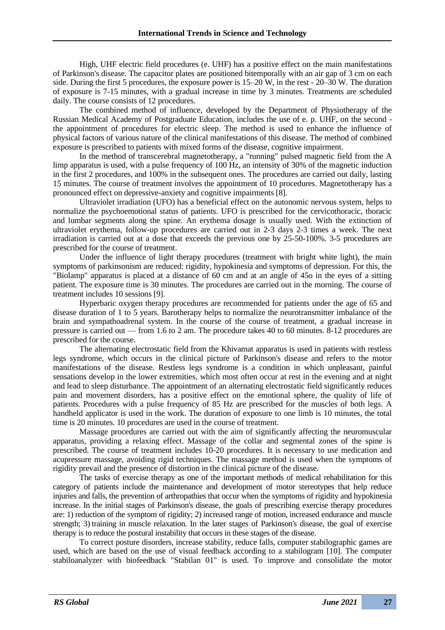High, UHF electric field procedures (e. UHF) has a positive effect on the main manifestations of Parkinson's disease. The capacitor plates are positioned bitemporally with an air gap of 3 cm on each side. During the first 5 procedures, the exposure power is 15–20 W, in the rest - 20–30 W. The duration of exposure is 7-15 minutes, with a gradual increase in time by 3 minutes. Treatments are scheduled daily. The course consists of 12 procedures.

The combined method of influence, developed by the Department of Physiotherapy of the Russian Medical Academy of Postgraduate Education, includes the use of e. p. UHF, on the second the appointment of procedures for electric sleep. The method is used to enhance the influence of physical factors of various nature of the clinical manifestations of this disease. The method of combined exposure is prescribed to patients with mixed forms of the disease, cognitive impairment.

In the method of transcerebral magnetotherapy, a "running" pulsed magnetic field from the A limp apparatus is used, with a pulse frequency of 100 Hz, an intensity of 30% of the magnetic induction in the first 2 procedures, and 100% in the subsequent ones. The procedures are carried out daily, lasting 15 minutes. The course of treatment involves the appointment of 10 procedures. Magnetotherapy has a pronounced effect on depressive-anxiety and cognitive impairments [8].

Ultraviolet irradiation (UFO) has a beneficial effect on the autonomic nervous system, helps to normalize the psychoemotional status of patients. UFO is prescribed for the cervicothoracic, thoracic and lumbar segments along the spine. An erythema dosage is usually used. With the extinction of ultraviolet erythema, follow-up procedures are carried out in 2-3 days 2-3 times a week. The next irradiation is carried out at a dose that exceeds the previous one by 25-50-100%. 3-5 procedures are prescribed for the course of treatment.

Under the influence of light therapy procedures (treatment with bright white light), the main symptoms of parkinsonism are reduced: rigidity, hypokinesia and symptoms of depression. For this, the "Biolamp" apparatus is placed at a distance of 60 cm and at an angle of 45o in the eyes of a sitting patient. The exposure time is 30 minutes. The procedures are carried out in the morning. The course of treatment includes 10 sessions [9].

Hyperbaric oxygen therapy procedures are recommended for patients under the age of 65 and disease duration of 1 to 5 years. Barotherapy helps to normalize the neurotransmitter imbalance of the brain and sympathoadrenal system. In the course of the course of treatment, a gradual increase in pressure is carried out — from 1.6 to 2 am. The procedure takes 40 to 60 minutes. 8-12 procedures are prescribed for the course.

The alternating electrostatic field from the Khivamat apparatus is used in patients with restless legs syndrome, which occurs in the clinical picture of Parkinson's disease and refers to the motor manifestations of the disease. Restless legs syndrome is a condition in which unpleasant, painful sensations develop in the lower extremities, which most often occur at rest in the evening and at night and lead to sleep disturbance. The appointment of an alternating electrostatic field significantly reduces pain and movement disorders, has a positive effect on the emotional sphere, the quality of life of patients. Procedures with a pulse frequency of 85 Hz are prescribed for the muscles of both legs. A handheld applicator is used in the work. The duration of exposure to one limb is 10 minutes, the total time is 20 minutes. 10 procedures are used in the course of treatment.

Massage procedures are carried out with the aim of significantly affecting the neuromuscular apparatus, providing a relaxing effect. Massage of the collar and segmental zones of the spine is prescribed. The course of treatment includes 10-20 procedures. It is necessary to use medication and acupressure massage, avoiding rigid techniques. The massage method is used when the symptoms of rigidity prevail and the presence of distortion in the clinical picture of the disease.

The tasks of exercise therapy as one of the important methods of medical rehabilitation for this category of patients include the maintenance and development of motor stereotypes that help reduce injuries and falls, the prevention of arthropathies that occur when the symptoms of rigidity and hypokinesia increase. In the initial stages of Parkinson's disease, the goals of prescribing exercise therapy procedures are: 1) reduction of the symptom of rigidity; 2) increased range of motion, increased endurance and muscle strength; 3) training in muscle relaxation. In the later stages of Parkinson's disease, the goal of exercise therapy is to reduce the postural instability that occurs in these stages of the disease.

To correct posture disorders, increase stability, reduce falls, computer stabilographic games are used, which are based on the use of visual feedback according to a stabilogram [10]. The computer stabiloanalyzer with biofeedback "Stabilan 01" is used. To improve and consolidate the motor